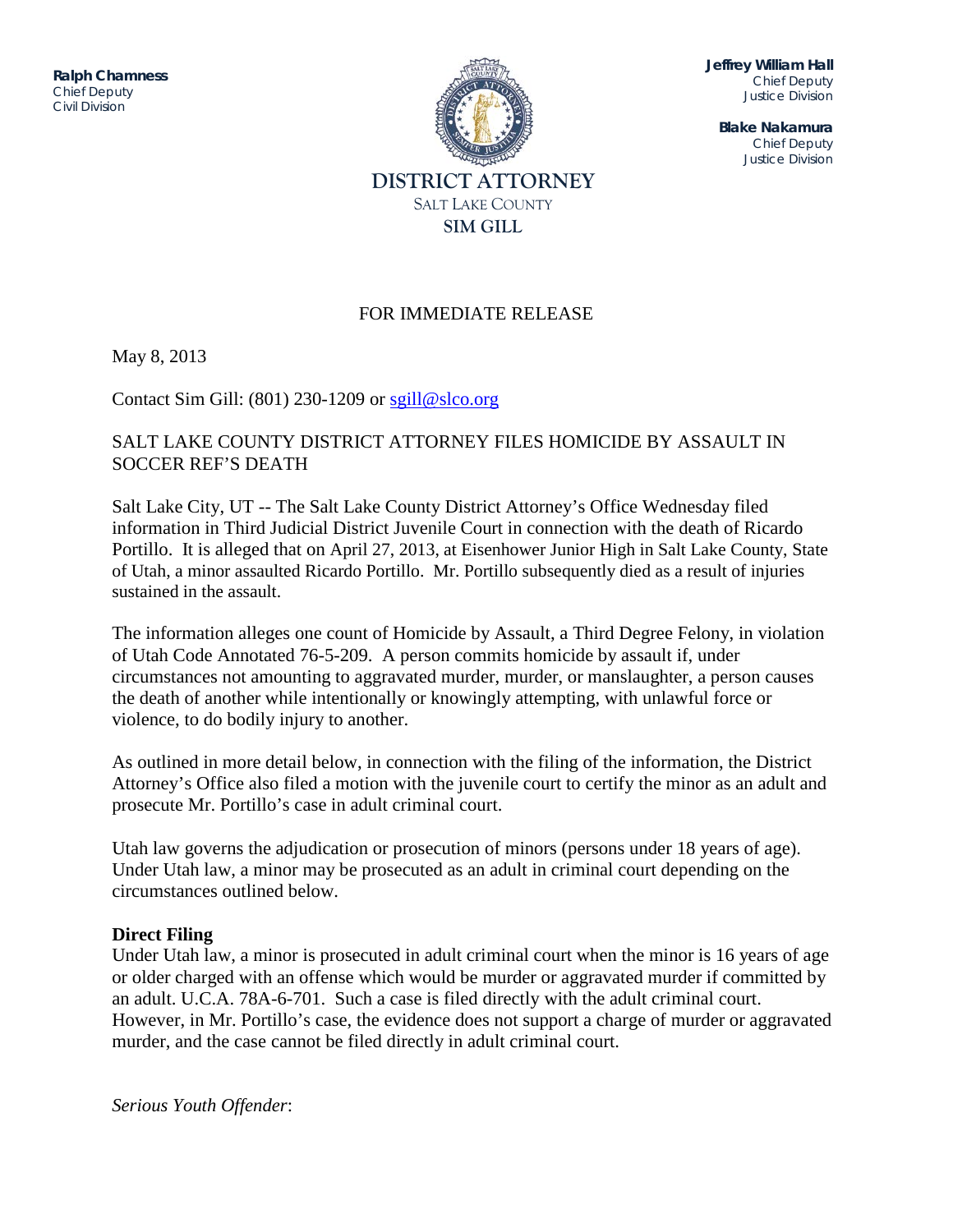ITITIQUE DIVISION DE L'ON DIVISION DE L'ON DIVISION DE L'ON DIVISION DE L'ON DIVISION DE L'ON DIVISION DE L'ON<br>DIVISION DE L'ON DIVISION DE L'ON DIVISION DE L'ON DIVISION DE L'ON DIVISION DE L'ON DIVISION DE L'ON DIVISION **Ralph Chamness**  *Chief Deputy Civil Division*



**Jeffrey William Hall** *Chief Deputy Justice Division*

**Blake Nakamura** *Chief Deputy Justice Division*

## FOR IMMEDIATE RELEASE

May 8, 2013

Contact Sim Gill:  $(801)$  230-1209 or [sgill@slco.org](mailto:sgill@slco.org)

## SALT LAKE COUNTY DISTRICT ATTORNEY FILES HOMICIDE BY ASSAULT IN SOCCER REF'S DEATH

Salt Lake City, UT -- The Salt Lake County District Attorney's Office Wednesday filed information in Third Judicial District Juvenile Court in connection with the death of Ricardo Portillo. It is alleged that on April 27, 2013, at Eisenhower Junior High in Salt Lake County, State of Utah, a minor assaulted Ricardo Portillo. Mr. Portillo subsequently died as a result of injuries sustained in the assault.

The information alleges one count of Homicide by Assault, a Third Degree Felony, in violation of Utah Code Annotated 76-5-209. A person commits homicide by assault if, under circumstances not amounting to aggravated murder, murder, or manslaughter, a person causes the death of another while intentionally or knowingly attempting, with unlawful force or violence, to do bodily injury to another.

As outlined in more detail below, in connection with the filing of the information, the District Attorney's Office also filed a motion with the juvenile court to certify the minor as an adult and prosecute Mr. Portillo's case in adult criminal court.

Utah law governs the adjudication or prosecution of minors (persons under 18 years of age). Under Utah law, a minor may be prosecuted as an adult in criminal court depending on the circumstances outlined below.

## **Direct Filing**

Under Utah law, a minor is prosecuted in adult criminal court when the minor is 16 years of age or older charged with an offense which would be murder or aggravated murder if committed by an adult. U.C.A. 78A-6-701. Such a case is filed directly with the adult criminal court. However, in Mr. Portillo's case, the evidence does not support a charge of murder or aggravated murder, and the case cannot be filed directly in adult criminal court.

*Serious Youth Offender*: